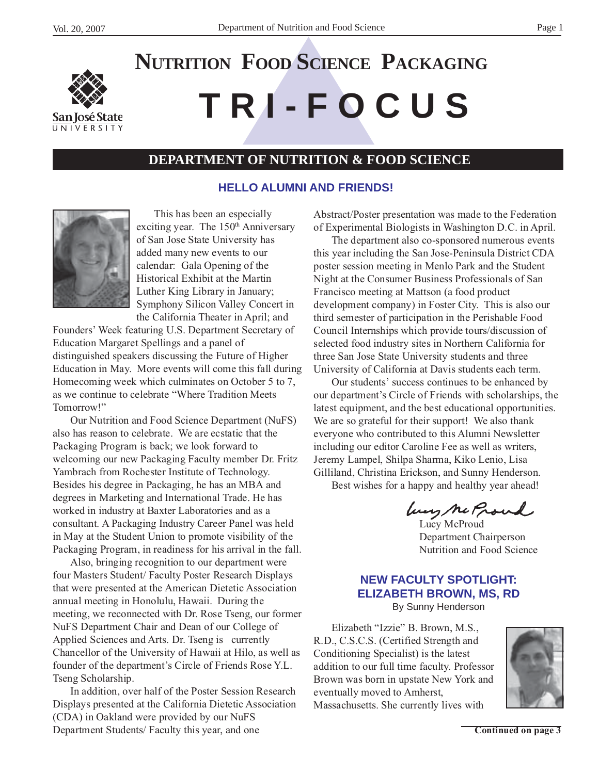

# **T R I - F O C U S NUTRITION FOOD SCIENCE PACKAGING**

# **DEPARTMENT OF NUTRITION & FOOD SCIENCE**

#### **HELLO ALUMNI AND FRIENDS!**



This has been an especially exciting year. The 150<sup>th</sup> Anniversary of San Jose State University has added many new events to our calendar: Gala Opening of the Historical Exhibit at the Martin Luther King Library in January; Symphony Silicon Valley Concert in the California Theater in April; and

Founders' Week featuring U.S. Department Secretary of Education Margaret Spellings and a panel of distinguished speakers discussing the Future of Higher Education in May. More events will come this fall during Homecoming week which culminates on October 5 to 7, as we continue to celebrate "Where Tradition Meets Tomorrow!"

Our Nutrition and Food Science Department (NuFS) also has reason to celebrate. We are ecstatic that the Packaging Program is back; we look forward to welcoming our new Packaging Faculty member Dr. Fritz Yambrach from Rochester Institute of Technology. Besides his degree in Packaging, he has an MBA and degrees in Marketing and International Trade. He has worked in industry at Baxter Laboratories and as a consultant. A Packaging Industry Career Panel was held in May at the Student Union to promote visibility of the Packaging Program, in readiness for his arrival in the fall.

Also, bringing recognition to our department were four Masters Student/ Faculty Poster Research Displays that were presented at the American Dietetic Association annual meeting in Honolulu, Hawaii. During the meeting, we reconnected with Dr. Rose Tseng, our former NuFS Department Chair and Dean of our College of Applied Sciences and Arts. Dr. Tseng is currently Chancellor of the University of Hawaii at Hilo, as well as founder of the department's Circle of Friends Rose Y.L. Tseng Scholarship.

In addition, over half of the Poster Session Research Displays presented at the California Dietetic Association (CDA) in Oakland were provided by our NuFS Department Students/ Faculty this year, and one

Abstract/Poster presentation was made to the Federation of Experimental Biologists in Washington D.C. in April.

The department also co-sponsored numerous events this year including the San Jose-Peninsula District CDA poster session meeting in Menlo Park and the Student Night at the Consumer Business Professionals of San Francisco meeting at Mattson (a food product development company) in Foster City. This is also our third semester of participation in the Perishable Food Council Internships which provide tours/discussion of selected food industry sites in Northern California for three San Jose State University students and three University of California at Davis students each term.

Our students' success continues to be enhanced by our department's Circle of Friends with scholarships, the latest equipment, and the best educational opportunities. We are so grateful for their support! We also thank everyone who contributed to this Alumni Newsletter including our editor Caroline Fee as well as writers, Jeremy Lampel, Shilpa Sharma, Kiko Lenio, Lisa Gilliland, Christina Erickson, and Sunny Henderson. Best wishes for a happy and healthy year ahead!

Lucy Me Proud Department Chairperson Nutrition and Food Science

# **NEW FACULTY SPOTLIGHT: ELIZABETH BROWN, MS, RD**

By Sunny Henderson

Elizabeth "Izzie" B. Brown, M.S., R.D., C.S.C.S. (Certified Strength and Conditioning Specialist) is the latest addition to our full time faculty. Professor Brown was born in upstate New York and eventually moved to Amherst, Massachusetts. She currently lives with

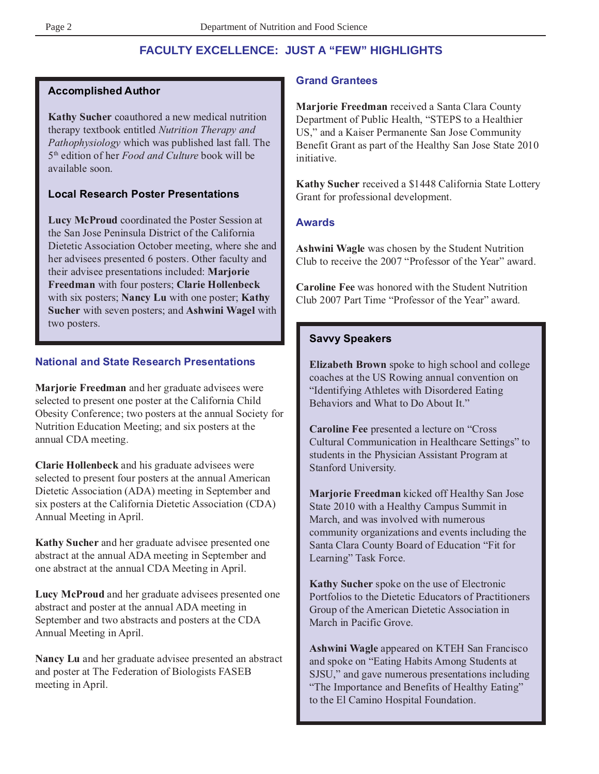# **FACULTY EXCELLENCE: JUST A "FEW" HIGHLIGHTS**

#### **Accomplished Author**

**Kathy Sucher** coauthored a new medical nutrition therapy textbook entitled *Nutrition Therapy and Pathophysiology* which was published last fall. The 5th edition of her *Food and Culture* book will be available soon.

#### **Local Research Poster Presentations**

**Lucy McProud** coordinated the Poster Session at the San Jose Peninsula District of the California Dietetic Association October meeting, where she and her advisees presented 6 posters. Other faculty and their advisee presentations included: **Marjorie Freedman** with four posters; **Clarie Hollenbeck** with six posters; **Nancy Lu** with one poster; **Kathy Sucher** with seven posters; and **Ashwini Wagel** with two posters.

#### **National and State Research Presentations**

**Marjorie Freedman** and her graduate advisees were selected to present one poster at the California Child Obesity Conference; two posters at the annual Society for Nutrition Education Meeting; and six posters at the annual CDA meeting.

**Clarie Hollenbeck** and his graduate advisees were selected to present four posters at the annual American Dietetic Association (ADA) meeting in September and six posters at the California Dietetic Association (CDA) Annual Meeting in April.

**Kathy Sucher** and her graduate advisee presented one abstract at the annual ADA meeting in September and one abstract at the annual CDA Meeting in April.

**Lucy McProud** and her graduate advisees presented one abstract and poster at the annual ADA meeting in September and two abstracts and posters at the CDA Annual Meeting in April.

**Nancy Lu** and her graduate advisee presented an abstract and poster at The Federation of Biologists FASEB meeting in April.

#### **Grand Grantees**

**Marjorie Freedman** received a Santa Clara County Department of Public Health, "STEPS to a Healthier US," and a Kaiser Permanente San Jose Community Benefit Grant as part of the Healthy San Jose State 2010 initiative.

**Kathy Sucher** received a \$1448 California State Lottery Grant for professional development.

#### **Awards**

**Ashwini Wagle** was chosen by the Student Nutrition Club to receive the 2007 "Professor of the Year" award.

**Caroline Fee** was honored with the Student Nutrition Club 2007 Part Time "Professor of the Year" award.

#### **Savvy Speakers**

**Elizabeth Brown** spoke to high school and college coaches at the US Rowing annual convention on "Identifying Athletes with Disordered Eating Behaviors and What to Do About It."

**Caroline Fee** presented a lecture on "Cross Cultural Communication in Healthcare Settings" to students in the Physician Assistant Program at Stanford University.

**Marjorie Freedman** kicked off Healthy San Jose State 2010 with a Healthy Campus Summit in March, and was involved with numerous community organizations and events including the Santa Clara County Board of Education "Fit for Learning" Task Force.

**Kathy Sucher** spoke on the use of Electronic Portfolios to the Dietetic Educators of Practitioners Group of the American Dietetic Association in March in Pacific Grove.

**Ashwini Wagle** appeared on KTEH San Francisco and spoke on "Eating Habits Among Students at SJSU," and gave numerous presentations including "The Importance and Benefits of Healthy Eating" to the El Camino Hospital Foundation.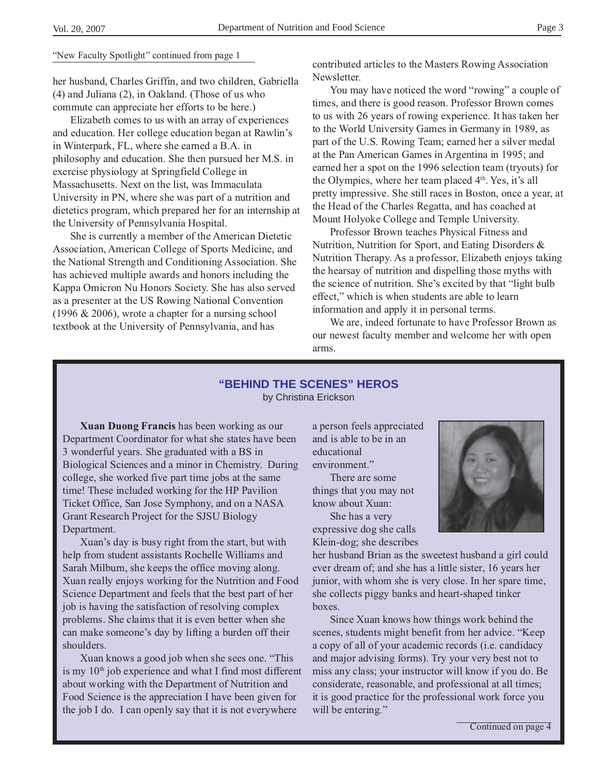#### "New Faculty Spotlight" continued from page 1

her husband, Charles Griffin, and two children, Gabriella (4) and Juliana (2), in Oakland. (Those of us who commute can appreciate her efforts to be here.)

Elizabeth comes to us with an array of experiences and education. Her college education began at Rawlin's in Winterpark, FL, where she earned a B.A. in philosophy and education. She then pursued her M.S. in exercise physiology at Springfield College in Massachusetts. Next on the list, was Immaculata University in PN, where she was part of a nutrition and dietetics program, which prepared her for an internship at the University of Pennsylvania Hospital.

She is currently a member of the American Dietetic Association, American College of Sports Medicine, and the National Strength and Conditioning Association. She has achieved multiple awards and honors including the Kappa Omicron Nu Honors Society. She has also served as a presenter at the US Rowing National Convention (1996 & 2006), wrote a chapter for a nursing school textbook at the University of Pennsylvania, and has

contributed articles to the Masters Rowing Association Newsletter.

You may have noticed the word "rowing" a couple of times, and there is good reason. Professor Brown comes to us with 26 years of rowing experience. It has taken her to the World University Games in Germany in 1989, as part of the U.S. Rowing Team; earned her a silver medal at the Pan American Games in Argentina in 1995; and earned her a spot on the 1996 selection team (tryouts) for the Olympics, where her team placed  $4<sup>th</sup>$ . Yes, it's all pretty impressive. She still races in Boston, once a year, at the Head of the Charles Regatta, and has coached at Mount Holyoke College and Temple University.

Professor Brown teaches Physical Fitness and Nutrition, Nutrition for Sport, and Eating Disorders & Nutrition Therapy. As a professor, Elizabeth enjoys taking the hearsay of nutrition and dispelling those myths with the science of nutrition. She's excited by that "light bulb effect," which is when students are able to learn information and apply it in personal terms.

We are, indeed fortunate to have Professor Brown as our newest faculty member and welcome her with open arms.

#### **"BEHIND THE SCENES" HEROS** by Christina Erickson

**Xuan Duong Francis** has been working as our Department Coordinator for what she states have been 3 wonderful years. She graduated with a BS in Biological Sciences and a minor in Chemistry. During college, she worked five part time jobs at the same time! These included working for the HP Pavilion Ticket Office, San Jose Symphony, and on a NASA Grant Research Project for the SJSU Biology Department.

Xuan's day is busy right from the start, but with help from student assistants Rochelle Williams and Sarah Milburn, she keeps the office moving along. Xuan really enjoys working for the Nutrition and Food Science Department and feels that the best part of her job is having the satisfaction of resolving complex problems. She claims that it is even better when she can make someone's day by lifting a burden off their shoulders.

Xuan knows a good job when she sees one. "This is my  $10<sup>th</sup>$  job experience and what I find most different about working with the Department of Nutrition and Food Science is the appreciation I have been given for the job I do. I can openly say that it is not everywhere

a person feels appreciated and is able to be in an educational environment."

There are some things that you may not know about Xuan: She has a very expressive dog she calls Klein-dog; she describes



her husband Brian as the sweetest husband a girl could ever dream of; and she has a little sister, 16 years her junior, with whom she is very close. In her spare time, she collects piggy banks and heart-shaped tinker boxes.

Since Xuan knows how things work behind the scenes, students might benefit from her advice. "Keep a copy of all of your academic records (i.e. candidacy and major advising forms). Try your very best not to miss any class; your instructor will know if you do. Be considerate, reasonable, and professional at all times; it is good practice for the professional work force you will be entering."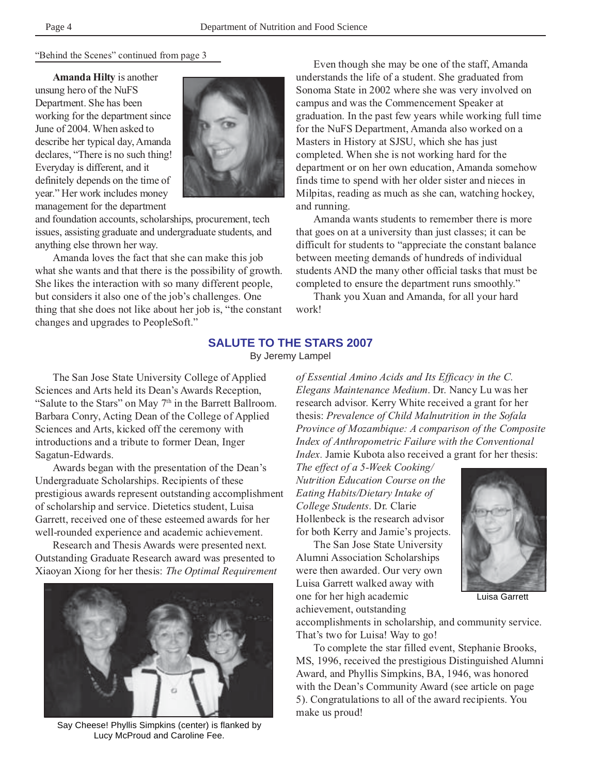"Behind the Scenes" continued from page 3

**Amanda Hilty** is another unsung hero of the NuFS Department. She has been working for the department since June of 2004. When asked to describe her typical day, Amanda declares, "There is no such thing! Everyday is different, and it definitely depends on the time of year." Her work includes money management for the department



and foundation accounts, scholarships, procurement, tech issues, assisting graduate and undergraduate students, and anything else thrown her way.

Amanda loves the fact that she can make this job what she wants and that there is the possibility of growth. She likes the interaction with so many different people, but considers it also one of the job's challenges. One thing that she does not like about her job is, "the constant changes and upgrades to PeopleSoft."

Even though she may be one of the staff, Amanda understands the life of a student. She graduated from Sonoma State in 2002 where she was very involved on campus and was the Commencement Speaker at graduation. In the past few years while working full time for the NuFS Department, Amanda also worked on a Masters in History at SJSU, which she has just completed. When she is not working hard for the department or on her own education, Amanda somehow finds time to spend with her older sister and nieces in Milpitas, reading as much as she can, watching hockey, and running.

Amanda wants students to remember there is more that goes on at a university than just classes; it can be difficult for students to "appreciate the constant balance between meeting demands of hundreds of individual students AND the many other official tasks that must be completed to ensure the department runs smoothly."

Thank you Xuan and Amanda, for all your hard work!

#### **SALUTE TO THE STARS 2007**

By Jeremy Lampel

The San Jose State University College of Applied Sciences and Arts held its Dean's Awards Reception, "Salute to the Stars" on May 7<sup>th</sup> in the Barrett Ballroom. Barbara Conry, Acting Dean of the College of Applied Sciences and Arts, kicked off the ceremony with introductions and a tribute to former Dean, Inger Sagatun-Edwards.

Awards began with the presentation of the Dean's Undergraduate Scholarships. Recipients of these prestigious awards represent outstanding accomplishment of scholarship and service. Dietetics student, Luisa Garrett, received one of these esteemed awards for her well-rounded experience and academic achievement.

Research and Thesis Awards were presented next. Outstanding Graduate Research award was presented to Xiaoyan Xiong for her thesis: *The Optimal Requirement*



Say Cheese! Phyllis Simpkins (center) is flanked by Lucy McProud and Caroline Fee.

*of Essential Amino Acids and Its Efficacy in the C. Elegans Maintenance Medium*. Dr. Nancy Lu was her research advisor. Kerry White received a grant for her thesis: *Prevalence of Child Malnutrition in the Sofala Province of Mozambique: A comparison of the Composite Index of Anthropometric Failure with the Conventional Index.* Jamie Kubota also received a grant for her thesis:

*The effect of a 5-Week Cooking/ Nutrition Education Course on the Eating Habits/Dietary Intake of College Students*. Dr. Clarie Hollenbeck is the research advisor for both Kerry and Jamie's projects.

The San Jose State University Alumni Association Scholarships were then awarded. Our very own Luisa Garrett walked away with one for her high academic achievement, outstanding



Luisa Garrett

accomplishments in scholarship, and community service. That's two for Luisa! Way to go!

To complete the star filled event, Stephanie Brooks, MS, 1996, received the prestigious Distinguished Alumni Award, and Phyllis Simpkins, BA, 1946, was honored with the Dean's Community Award (see article on page 5). Congratulations to all of the award recipients. You make us proud!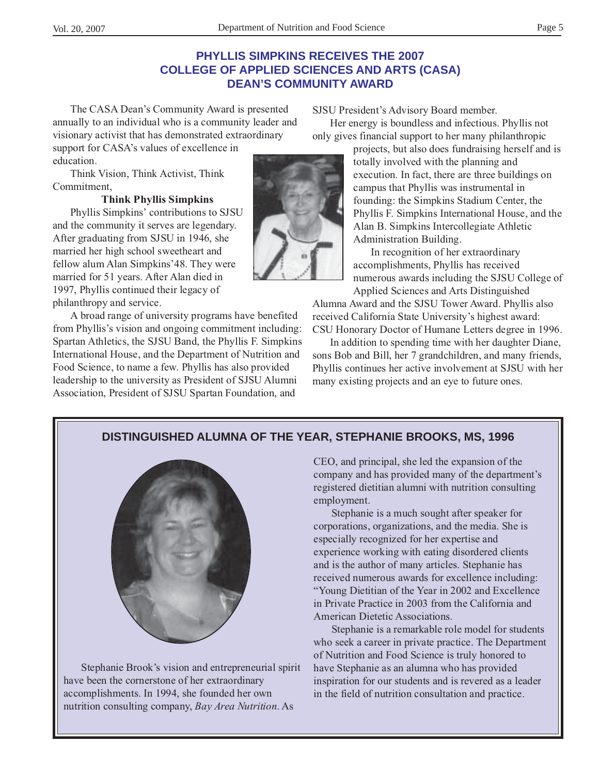## **PHYLLIS SIMPKINS RECEIVES THE 2007 COLLEGE OF APPLIED SCIENCES AND ARTS (CASA) DEAN'S COMMUNITY AWARD**

The CASA Dean's Community Award is presented annually to an individual who is a community leader and visionary activist that has demonstrated extraordinary

support for CASA's values of excellence in education.

Think Vision, Think Activist, Think Commitment,

#### **Think Phyllis Simpkins**

Phyllis Simpkins' contributions to SJSU and the community it serves are legendary. After graduating from SJSU in 1946, she married her high school sweetheart and fellow alum Alan Simpkins'48. They were married for 51 years. After Alan died in 1997, Phyllis continued their legacy of philanthropy and service.

A broad range of university programs have benefited from Phyllis's vision and ongoing commitment including: Spartan Athletics, the SJSU Band, the Phyllis F. Simpkins International House, and the Department of Nutrition and Food Science, to name a few. Phyllis has also provided leadership to the university as President of SJSU Alumni Association, President of SJSU Spartan Foundation, and

SJSU President's Advisory Board member.

Her energy is boundless and infectious. Phyllis not only gives financial support to her many philanthropic

> projects, but also does fundraising herself and is totally involved with the planning and execution. In fact, there are three buildings on campus that Phyllis was instrumental in founding: the Simpkins Stadium Center, the Phyllis F. Simpkins International House, and the Alan B. Simpkins Intercollegiate Athletic Administration Building.

> In recognition of her extraordinary accomplishments, Phyllis has received numerous awards including the SJSU College of Applied Sciences and Arts Distinguished

Alumna Award and the SJSU Tower Award. Phyllis also received California State University's highest award: CSU Honorary Doctor of Humane Letters degree in 1996.

In addition to spending time with her daughter Diane, sons Bob and Bill, her 7 grandchildren, and many friends, Phyllis continues her active involvement at SJSU with her many existing projects and an eye to future ones.

# **DISTINGUISHED ALUMNA OF THE YEAR, STEPHANIE BROOKS, MS, 1996**



Stephanie Brook's vision and entrepreneurial spirit have been the cornerstone of her extraordinary accomplishments. In 1994, she founded her own nutrition consulting company, *Bay Area Nutrition*. As

CEO, and principal, she led the expansion of the company and has provided many of the department's registered dietitian alumni with nutrition consulting employment.

Stephanie is a much sought after speaker for corporations, organizations, and the media. She is especially recognized for her expertise and experience working with eating disordered clients and is the author of many articles. Stephanie has received numerous awards for excellence including: "Young Dietitian of the Year in 2002 and Excellence in Private Practice in 2003 from the California and American Dietetic Associations.

Stephanie is a remarkable role model for students who seek a career in private practice. The Department of Nutrition and Food Science is truly honored to have Stephanie as an alumna who has provided inspiration for our students and is revered as a leader in the field of nutrition consultation and practice.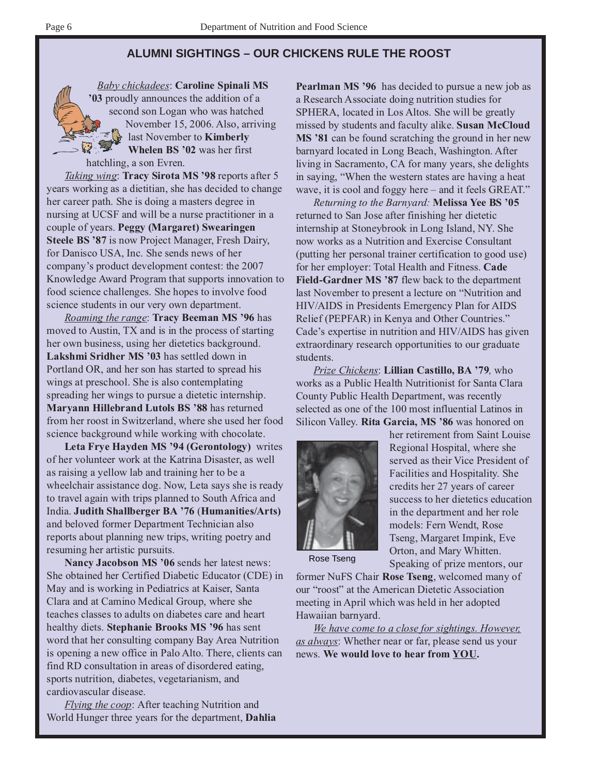## **ALUMNI SIGHTINGS – OUR CHICKENS RULE THE ROOST**

*Baby chickadees*: **Caroline Spinali MS '03** proudly announces the addition of a second son Logan who was hatched November 15, 2006. Also, arriving last November to **Kimberly Whelen BS '02** was her first hatchling, a son Evren.

*Taking wing*: **Tracy Sirota MS '98** reports after 5 years working as a dietitian, she has decided to change her career path. She is doing a masters degree in nursing at UCSF and will be a nurse practitioner in a couple of years. **Peggy (Margaret) Swearingen Steele BS '87** is now Project Manager, Fresh Dairy, for Danisco USA, Inc. She sends news of her company's product development contest: the 2007 Knowledge Award Program that supports innovation to food science challenges. She hopes to involve food science students in our very own department.

*Roaming the range*: **Tracy Beeman MS '96** has moved to Austin, TX and is in the process of starting her own business, using her dietetics background. **Lakshmi Sridher MS '03** has settled down in Portland OR, and her son has started to spread his wings at preschool. She is also contemplating spreading her wings to pursue a dietetic internship. **Maryann Hillebrand Lutols BS '88** has returned from her roost in Switzerland, where she used her food science background while working with chocolate.

**Leta Frye Hayden MS '94 (Gerontology)** writes of her volunteer work at the Katrina Disaster, as well as raising a yellow lab and training her to be a wheelchair assistance dog. Now, Leta says she is ready to travel again with trips planned to South Africa and India. **Judith Shallberger BA '76** (**Humanities/Arts)** and beloved former Department Technician also reports about planning new trips, writing poetry and resuming her artistic pursuits.

**Nancy Jacobson MS '06** sends her latest news: She obtained her Certified Diabetic Educator (CDE) in May and is working in Pediatrics at Kaiser, Santa Clara and at Camino Medical Group, where she teaches classes to adults on diabetes care and heart healthy diets. **Stephanie Brooks MS '96** has sent word that her consulting company Bay Area Nutrition is opening a new office in Palo Alto. There, clients can find RD consultation in areas of disordered eating, sports nutrition, diabetes, vegetarianism, and cardiovascular disease.

*Flying the coop*: After teaching Nutrition and World Hunger three years for the department, **Dahlia** **Pearlman MS '96** has decided to pursue a new job as a Research Associate doing nutrition studies for SPHERA, located in Los Altos. She will be greatly missed by students and faculty alike. **Susan McCloud** MS '81 can be found scratching the ground in her new barnyard located in Long Beach, Washington. After living in Sacramento, CA for many years, she delights in saying, "When the western states are having a heat wave, it is cool and foggy here – and it feels GREAT."

*Returning to the Barnyard:* **Melissa Yee BS '05** returned to San Jose after finishing her dietetic internship at Stoneybrook in Long Island, NY. She now works as a Nutrition and Exercise Consultant (putting her personal trainer certification to good use) for her employer: Total Health and Fitness. **Cade Field-Gardner MS '87** flew back to the department last November to present a lecture on "Nutrition and HIV/AIDS in Presidents Emergency Plan for AIDS Relief (PEPFAR) in Kenya and Other Countries." Cade's expertise in nutrition and HIV/AIDS has given extraordinary research opportunities to our graduate students.

*Prize Chickens*: **Lillian Castillo, BA '79***,* who works as a Public Health Nutritionist for Santa Clara County Public Health Department, was recently selected as one of the 100 most influential Latinos in Silicon Valley. **Rita Garcia, MS '86** was honored on



her retirement from Saint Louise Regional Hospital, where she served as their Vice President of Facilities and Hospitality. She credits her 27 years of career success to her dietetics education in the department and her role models: Fern Wendt, Rose Tseng, Margaret Impink, Eve Orton, and Mary Whitten. Speaking of prize mentors, our

Rose Tseng

former NuFS Chair **Rose Tseng**, welcomed many of our "roost" at the American Dietetic Association meeting in April which was held in her adopted Hawaiian barnyard.

*We have come to a close for sightings. However, as always*: Whether near or far, please send us your news. **We would love to hear from YOU.**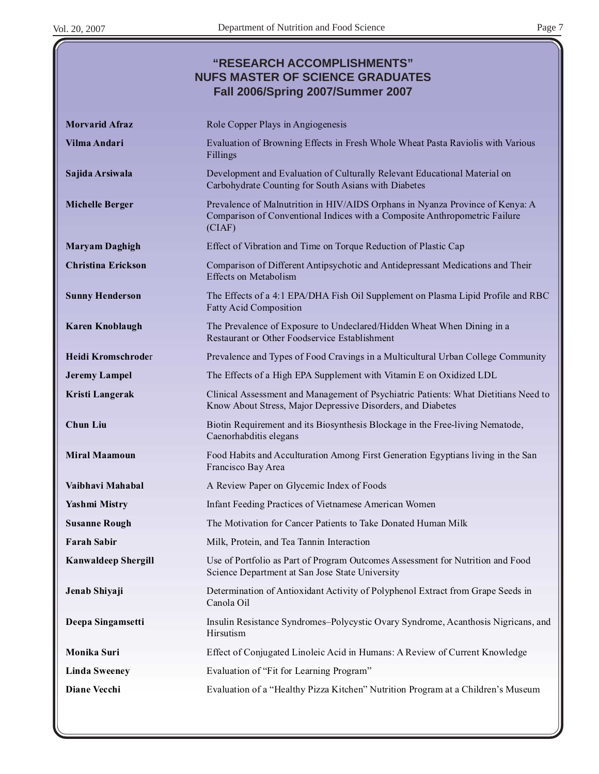# **"RESEARCH ACCOMPLISHMENTS" NUFS MASTER OF SCIENCE GRADUATES Fall 2006/Spring 2007/Summer 2007**

| <b>Morvarid Afraz</b>      | Role Copper Plays in Angiogenesis                                                                                                                                     |
|----------------------------|-----------------------------------------------------------------------------------------------------------------------------------------------------------------------|
| Vilma Andari               | Evaluation of Browning Effects in Fresh Whole Wheat Pasta Raviolis with Various<br>Fillings                                                                           |
| Sajida Arsiwala            | Development and Evaluation of Culturally Relevant Educational Material on<br>Carbohydrate Counting for South Asians with Diabetes                                     |
| <b>Michelle Berger</b>     | Prevalence of Malnutrition in HIV/AIDS Orphans in Nyanza Province of Kenya: A<br>Comparison of Conventional Indices with a Composite Anthropometric Failure<br>(CIAF) |
| <b>Maryam Daghigh</b>      | Effect of Vibration and Time on Torque Reduction of Plastic Cap                                                                                                       |
| <b>Christina Erickson</b>  | Comparison of Different Antipsychotic and Antidepressant Medications and Their<br><b>Effects on Metabolism</b>                                                        |
| <b>Sunny Henderson</b>     | The Effects of a 4:1 EPA/DHA Fish Oil Supplement on Plasma Lipid Profile and RBC<br><b>Fatty Acid Composition</b>                                                     |
| <b>Karen Knoblaugh</b>     | The Prevalence of Exposure to Undeclared/Hidden Wheat When Dining in a<br>Restaurant or Other Foodservice Establishment                                               |
| <b>Heidi Kromschroder</b>  | Prevalence and Types of Food Cravings in a Multicultural Urban College Community                                                                                      |
| <b>Jeremy Lampel</b>       | The Effects of a High EPA Supplement with Vitamin E on Oxidized LDL                                                                                                   |
| Kristi Langerak            | Clinical Assessment and Management of Psychiatric Patients: What Dietitians Need to<br>Know About Stress, Major Depressive Disorders, and Diabetes                    |
| <b>Chun Liu</b>            | Biotin Requirement and its Biosynthesis Blockage in the Free-living Nematode,<br>Caenorhabditis elegans                                                               |
| <b>Miral Maamoun</b>       | Food Habits and Acculturation Among First Generation Egyptians living in the San<br>Francisco Bay Area                                                                |
| Vaibhavi Mahabal           | A Review Paper on Glycemic Index of Foods                                                                                                                             |
| <b>Yashmi Mistry</b>       | Infant Feeding Practices of Vietnamese American Women                                                                                                                 |
| <b>Susanne Rough</b>       | The Motivation for Cancer Patients to Take Donated Human Milk                                                                                                         |
| <b>Farah Sabir</b>         | Milk, Protein, and Tea Tannin Interaction                                                                                                                             |
| <b>Kanwaldeep Shergill</b> | Use of Portfolio as Part of Program Outcomes Assessment for Nutrition and Food<br>Science Department at San Jose State University                                     |
| Jenab Shiyaji              | Determination of Antioxidant Activity of Polyphenol Extract from Grape Seeds in<br>Canola Oil                                                                         |
| Deepa Singamsetti          | Insulin Resistance Syndromes-Polycystic Ovary Syndrome, Acanthosis Nigricans, and<br>Hirsutism                                                                        |
| Monika Suri                | Effect of Conjugated Linoleic Acid in Humans: A Review of Current Knowledge                                                                                           |
| <b>Linda Sweeney</b>       | Evaluation of "Fit for Learning Program"                                                                                                                              |
| <b>Diane Vecchi</b>        | Evaluation of a "Healthy Pizza Kitchen" Nutrition Program at a Children's Museum                                                                                      |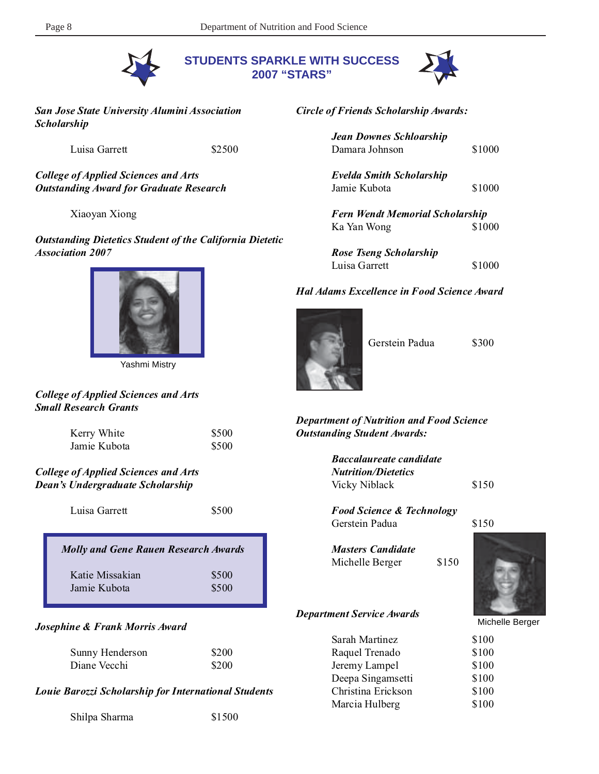

**STUDENTS SPARKLE WITH SUCCESS 2007 "STARS"**



*San Jose State University Alumini Association Scholarship*

Luisa Garrett \$2500

*College of Applied Sciences and Arts Outstanding Award for Graduate Research*

Xiaoyan Xiong

*Outstanding Dietetics Student of the California Dietetic Association 2007*



Yashmi Mistry

#### *College of Applied Sciences and Arts Small Research Grants*

| Kerry White  | \$500 |
|--------------|-------|
| Jamie Kubota | \$500 |

#### *College of Applied Sciences and Arts Dean's Undergraduate Scholarship*

| Luisa Garrett                               | \$500 |
|---------------------------------------------|-------|
| <b>Molly and Gene Rauen Research Awards</b> |       |

Katie Missakian \$500 Jamie Kubota  $$500$ 

#### *Josephine & Frank Morris Award*

| Sunny Henderson | \$200 |
|-----------------|-------|
| Diane Vecchi    | \$200 |

*Louie Barozzi Scholarship for International Students*

Shilpa Sharma \$1500

*Circle of Friends Scholarship Awards:*

*Jean Downes Schloarship* Damara Johnson \$1000

*Evelda Smith Scholarship* Jamie Kubota  $$1000$ 

*Fern Wendt Memorial Scholarship* Ka Yan Wong \$1000

| Rose Tseng Scholarship |        |
|------------------------|--------|
| Luisa Garrett          | \$1000 |

#### *Hal Adams Excellence in Food Science Award*



Gerstein Padua \$300

#### *Department of Nutrition and Food Science Outstanding Student Awards:*

| <b>Baccalaureate candidate</b> |       |
|--------------------------------|-------|
| <b>Nutrition/Dietetics</b>     |       |
| Vicky Niblack                  | \$150 |

*Food Science & Technology* Gerstein Padua  $$150$ 

*Masters Candidate* Michelle Berger \$150

#### *Department Service Awards*

| \$100 |
|-------|
| \$100 |
|       |
| \$100 |
| \$100 |
| \$100 |
| \$100 |
|       |



Michelle Berger

| \$100       |  |
|-------------|--|
| \$100       |  |
| \$100       |  |
| \$100       |  |
| \$100       |  |
| <b>AIAA</b> |  |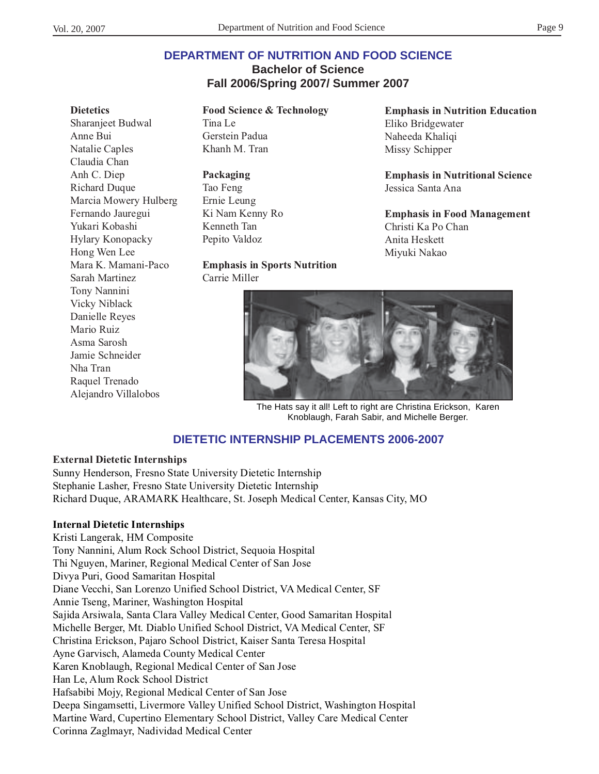#### **Dietetics**

Sharanjeet Budwal Anne Bui Natalie Caples Claudia Chan Anh C. Diep Richard Duque Marcia Mowery Hulberg Fernando Jauregui Yukari Kobashi Hylary Konopacky Hong Wen Lee Mara K. Mamani-Paco Sarah Martinez Tony Nannini Vicky Niblack Danielle Reyes Mario Ruiz Asma Sarosh Jamie Schneider Nha Tran Raquel Trenado Alejandro Villalobos

**Food Science & Technology** Tina Le Gerstein Padua Khanh M. Tran

**Packaging** Tao Feng Ernie Leung Ki Nam Kenny Ro Kenneth Tan Pepito Valdoz

#### **Emphasis in Sports Nutrition** Carrie Miller

**Emphasis in Nutrition Education** Eliko Bridgewater Naheeda Khaliqi Missy Schipper

**Emphasis in Nutritional Science** Jessica Santa Ana

**Emphasis in Food Management** Christi Ka Po Chan Anita Heskett Miyuki Nakao



The Hats say it all! Left to right are Christina Erickson, Karen Knoblaugh, Farah Sabir, and Michelle Berger.

# **DIETETIC INTERNSHIP PLACEMENTS 2006-2007**

#### **External Dietetic Internships**

Sunny Henderson, Fresno State University Dietetic Internship Stephanie Lasher, Fresno State University Dietetic Internship Richard Duque, ARAMARK Healthcare, St. Joseph Medical Center, Kansas City, MO

#### **Internal Dietetic Internships**

Kristi Langerak, HM Composite Tony Nannini, Alum Rock School District, Sequoia Hospital Thi Nguyen, Mariner, Regional Medical Center of San Jose Divya Puri, Good Samaritan Hospital Diane Vecchi, San Lorenzo Unified School District, VA Medical Center, SF Annie Tseng, Mariner, Washington Hospital Sajida Arsiwala, Santa Clara Valley Medical Center, Good Samaritan Hospital Michelle Berger, Mt. Diablo Unified School District, VA Medical Center, SF Christina Erickson, Pajaro School District, Kaiser Santa Teresa Hospital Ayne Garvisch, Alameda County Medical Center Karen Knoblaugh, Regional Medical Center of San Jose Han Le, Alum Rock School District Hafsabibi Mojy, Regional Medical Center of San Jose Deepa Singamsetti, Livermore Valley Unified School District, Washington Hospital Martine Ward, Cupertino Elementary School District, Valley Care Medical Center Corinna Zaglmayr, Nadividad Medical Center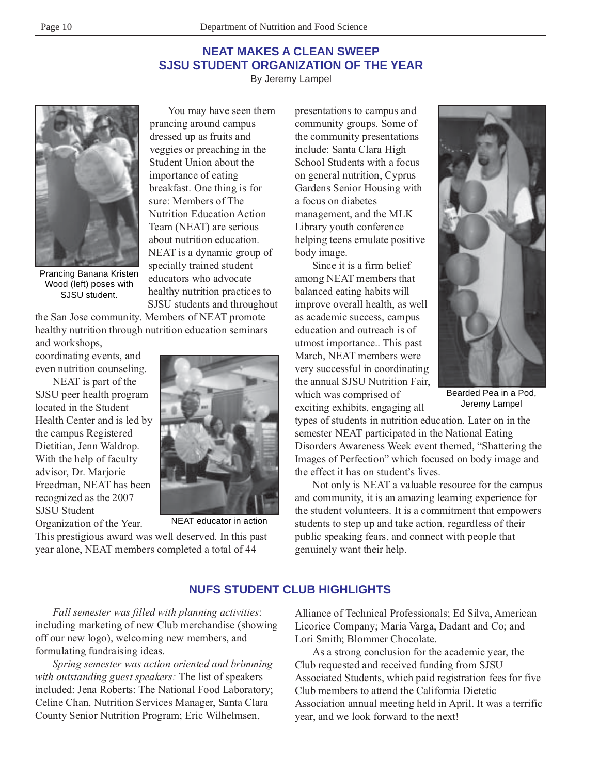# **NEAT MAKES A CLEAN SWEEP SJSU STUDENT ORGANIZATION OF THE YEAR**

By Jeremy Lampel



Prancing Banana Kristen Wood (left) poses with SJSU student.

the San Jose community. Members of NEAT promote healthy nutrition through nutrition education seminars

and workshops, coordinating events, and even nutrition counseling.

NEAT is part of the SJSU peer health program located in the Student Health Center and is led by the campus Registered Dietitian, Jenn Waldrop. With the help of faculty advisor, Dr. Marjorie Freedman, NEAT has been recognized as the 2007 SJSU Student Organization of the Year.



You may have seen them

prancing around campus dressed up as fruits and veggies or preaching in the Student Union about the importance of eating breakfast. One thing is for sure: Members of The Nutrition Education Action Team (NEAT) are serious about nutrition education. NEAT is a dynamic group of specially trained student educators who advocate healthy nutrition practices to SJSU students and throughout

NEAT educator in action

This prestigious award was well deserved. In this past year alone, NEAT members completed a total of 44

presentations to campus and community groups. Some of the community presentations include: Santa Clara High School Students with a focus on general nutrition, Cyprus Gardens Senior Housing with a focus on diabetes management, and the MLK Library youth conference helping teens emulate positive body image.

Since it is a firm belief among NEAT members that balanced eating habits will improve overall health, as well as academic success, campus education and outreach is of utmost importance.. This past March, NEAT members were very successful in coordinating the annual SJSU Nutrition Fair, which was comprised of exciting exhibits, engaging all



Bearded Pea in a Pod, Jeremy Lampel

types of students in nutrition education. Later on in the semester NEAT participated in the National Eating Disorders Awareness Week event themed, "Shattering the Images of Perfection" which focused on body image and the effect it has on student's lives.

Not only is NEAT a valuable resource for the campus and community, it is an amazing learning experience for the student volunteers. It is a commitment that empowers students to step up and take action, regardless of their public speaking fears, and connect with people that genuinely want their help.

# **NUFS STUDENT CLUB HIGHLIGHTS**

*Fall semester was filled with planning activities*: including marketing of new Club merchandise (showing off our new logo), welcoming new members, and formulating fundraising ideas.

*Spring semester was action oriented and brimming with outstanding guest speakers:* The list of speakers included: Jena Roberts: The National Food Laboratory; Celine Chan, Nutrition Services Manager, Santa Clara County Senior Nutrition Program; Eric Wilhelmsen,

Alliance of Technical Professionals; Ed Silva, American Licorice Company; Maria Varga, Dadant and Co; and Lori Smith; Blommer Chocolate.

As a strong conclusion for the academic year, the Club requested and received funding from SJSU Associated Students, which paid registration fees for five Club members to attend the California Dietetic Association annual meeting held in April. It was a terrific year, and we look forward to the next!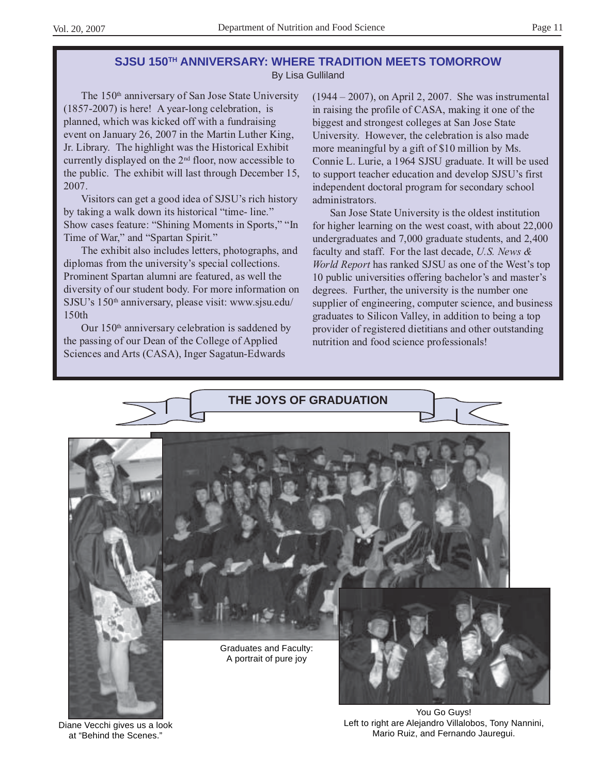### **SJSU 150TH ANNIVERSARY: WHERE TRADITION MEETS TOMORROW** By Lisa Gulliland

The 150th anniversary of San Jose State University (1857-2007) is here! A year-long celebration, is planned, which was kicked off with a fundraising event on January 26, 2007 in the Martin Luther King, Jr. Library. The highlight was the Historical Exhibit currently displayed on the 2nd floor, now accessible to the public. The exhibit will last through December 15, 2007.

Visitors can get a good idea of SJSU's rich history by taking a walk down its historical "time- line." Show cases feature: "Shining Moments in Sports," "In Time of War," and "Spartan Spirit."

The exhibit also includes letters, photographs, and diplomas from the university's special collections. Prominent Spartan alumni are featured, as well the diversity of our student body. For more information on SJSU's 150<sup>th</sup> anniversary, please visit: www.sjsu.edu/ 150th

Our  $150<sup>th</sup>$  anniversary celebration is saddened by the passing of our Dean of the College of Applied Sciences and Arts (CASA), Inger Sagatun-Edwards

(1944 – 2007), on April 2, 2007. She was instrumental in raising the profile of CASA, making it one of the biggest and strongest colleges at San Jose State University. However, the celebration is also made more meaningful by a gift of \$10 million by Ms. Connie L. Lurie, a 1964 SJSU graduate. It will be used to support teacher education and develop SJSU's first independent doctoral program for secondary school administrators.

San Jose State University is the oldest institution for higher learning on the west coast, with about 22,000 undergraduates and 7,000 graduate students, and 2,400 faculty and staff. For the last decade, *U.S. News & World Report* has ranked SJSU as one of the West's top 10 public universities offering bachelor's and master's degrees. Further, the university is the number one supplier of engineering, computer science, and business graduates to Silicon Valley, in addition to being a top provider of registered dietitians and other outstanding nutrition and food science professionals!



Diane Vecchi gives us a look at "Behind the Scenes."

Left to right are Alejandro Villalobos, Tony Nannini, Mario Ruiz, and Fernando Jauregui.